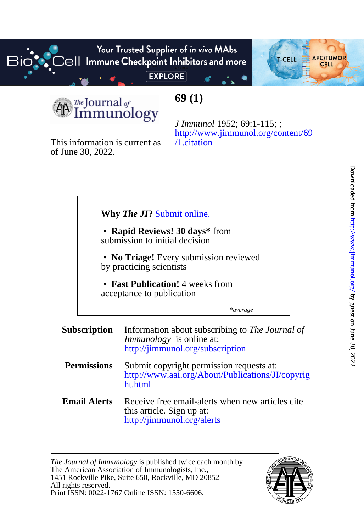Your Trusted Supplier of in vivo MAbs  $\overline{\text{cell}}$  Immune Checkpoint Inhibitors and more **EXPLORE** 



*The* **JOUTDA** of Immunology

# **69 (1)**

of June 30, 2022. This information is current as

[/1.citation](http://www.jimmunol.org/content/69/1.citation) [http://www.jimmunol.org/content/69](http://www.jimmunol.org/content/69/1.citation) *J Immunol* 1952; 69:1-115; ;

## **Why** *The JI***?** [Submit online.](https://ji.msubmit.net)

submission to initial decision • **Rapid Reviews! 30 days\*** from

by practicing scientists • **No Triage!** Every submission reviewed

acceptance to publication • **Fast Publication!** 4 weeks from

\**average*

#### **Subscription** <http://jimmunol.org/subscription> *Immunology* is online at: Information about subscribing to *The Journal of*

- **Permissions** [ht.html](http://www.aai.org/About/Publications/JI/copyright.html) [http://www.aai.org/About/Publications/JI/copyrig](http://www.aai.org/About/Publications/JI/copyright.html) Submit copyright permission requests at:
- **Email Alerts** <http://jimmunol.org/alerts> this article. Sign up at: Receive free email-alerts when new articles cite

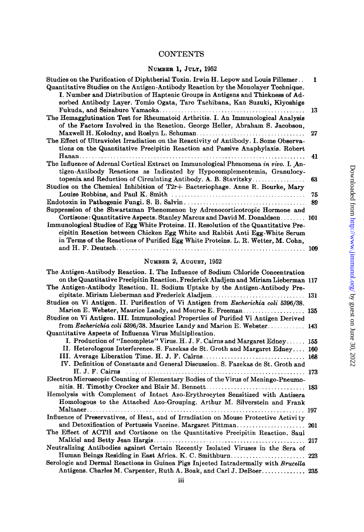## **CONTENTS**

## NUMBER 1, JULY, 1952

| Studies on the Purification of Diphtherial Toxin, Irwin H. Lepow and Louis Pillemer<br>Quantitative Studies on the Antigen-Antibody Reaction by the Monolayer Technique.<br>I. Number and Distribution of Haptenic Groups in Antigens and Thickness of Ad-<br>sorbed Antibody Layer. Tomio Ogata, Taro Tachibana, Kan Suzuki, Kiyoshige | 1   |
|-----------------------------------------------------------------------------------------------------------------------------------------------------------------------------------------------------------------------------------------------------------------------------------------------------------------------------------------|-----|
|                                                                                                                                                                                                                                                                                                                                         | 13  |
| The Hemagglutination Test for Rheumatoid Arthritis. I. An Immunological Analysis                                                                                                                                                                                                                                                        |     |
| of the Factors Involved in the Reaction. George Heller, Abraham S. Jacobson,                                                                                                                                                                                                                                                            |     |
|                                                                                                                                                                                                                                                                                                                                         | 27  |
| The Effect of Ultraviolet Irradiation on the Reactivity of Antibody. I. Some Observa-                                                                                                                                                                                                                                                   |     |
| tions on the Quantitative Precipitin Reaction and Passive Anaphylaxis. Robert                                                                                                                                                                                                                                                           |     |
|                                                                                                                                                                                                                                                                                                                                         | 41  |
| The Influence of Adrenal Cortical Extract on Immunological Phenomena in vivo. I. An-                                                                                                                                                                                                                                                    |     |
| tigen-Antibody Reactions as Indicated by Hypocomplementemia, Granulocy-                                                                                                                                                                                                                                                                 |     |
| topenia and Reduction of Circulating Antibody. A. B. Stavitsky                                                                                                                                                                                                                                                                          | 63  |
| Studies on the Chemical Inhibition of T2r+ Bacteriophage. Anne R. Bourke, Mary                                                                                                                                                                                                                                                          |     |
|                                                                                                                                                                                                                                                                                                                                         | 75  |
|                                                                                                                                                                                                                                                                                                                                         | 89  |
| Suppression of the Shwartzman Phenomenon by Adrenocorticotropic Hormone and                                                                                                                                                                                                                                                             |     |
|                                                                                                                                                                                                                                                                                                                                         |     |
| Immunological Studies of Egg White Proteins. II. Resolution of the Quantitative Pre-                                                                                                                                                                                                                                                    |     |
| cipitin Reaction between Chicken Egg White and Rabbit Anti Egg-White Serum                                                                                                                                                                                                                                                              |     |
| in Terms of the Reactions of Purified Egg White Proteins. L. R. Wetter, M. Cohn,                                                                                                                                                                                                                                                        |     |
|                                                                                                                                                                                                                                                                                                                                         | 109 |
|                                                                                                                                                                                                                                                                                                                                         |     |

#### NUMBER 2, AUQUST, 1952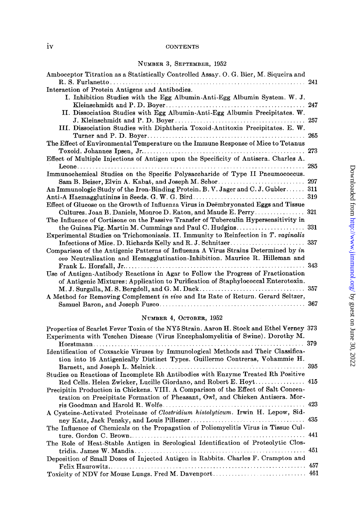#### iv CONTENTS

#### NUMBER 3, SEPTEMBER, 1952

| Amboceptor Titration as a Statistically Controlled Assay. O. G. Bier, M. Siqueira and | 241 |
|---------------------------------------------------------------------------------------|-----|
| Interaction of Protein Antigens and Antibodies.                                       |     |
| I. Inhibition Studies with the Egg Albumin-Anti-Egg Albumin System. W. J.             |     |
|                                                                                       | 247 |
| II. Dissociation Studies with Egg Albumin-Anti-Egg Albumin Precipitates. W.           |     |
|                                                                                       | 257 |
| III. Dissociation Studies with Diphtheria Toxoid-Antitoxin Precipitates. E. W.        |     |
|                                                                                       | 265 |
| The Effect of Environmental Temperature on the Immune Response of Mice to Tetanus     |     |
|                                                                                       | 273 |
| Effect of Multiple Injections of Antigen upon the Specificity of Antisera. Charles A. |     |
| Leone<br>.                                                                            | 285 |
| Immunochemical Studies on the Specific Polysaccharide of Type II Pneumococcus.        |     |
| Sam B. Beiser, Elvin A. Kabat, and Joseph M. Schor                                    | 297 |
| An Immunologic Study of the Iron-Binding Protein. B. V. Jager and C. J. Gubler        | 311 |
|                                                                                       | 319 |
| Effect of Glucose on the Growth of Influenza Virus in Deëmbryonated Eggs and Tissue   |     |
| Cultures. Joan B. Daniels, Monroe D. Eaton, and Maude E. Perry                        | 321 |
| The Influence of Cortisone on the Passive Transfer of Tuberculin Hypersensitivity in  |     |
|                                                                                       | 331 |
| Experimental Studies on Trichomoniasis. II. Immunity to Reinfection in T. vaginalis   |     |
| Infections of Mice. D. Richards Kelly and R. J. Schnitzer                             | 337 |
| Comparison of the Antigenic Patterns of Influenza A Virus Strains Determined by in    |     |
| ovo Neutralization and Hemagglutination-Inhibition. Maurice R. Hilleman and           |     |
|                                                                                       | 343 |
| Use of Antigen-Antibody Reactions in Agar to Follow the Progress of Fractionation     |     |
| of Antigenic Mixtures: Application to Purification of Staphylococcal Enterotoxin.     |     |
|                                                                                       | 357 |
| A Method for Removing Complement in vivo and Its Rate of Return. Gerard Seltzer,      |     |
|                                                                                       | 367 |
|                                                                                       |     |

#### NUMBER 4, OCTOBER, 1952

| Properties of Scarlet Fever Toxin of the NY5 Strain. Aaron H. Stock and Ethel Verney 373 |  |
|------------------------------------------------------------------------------------------|--|
| Experiments with Teschen Disease (Virus Encephalomyelitis of Swine). Dorothy M.          |  |
|                                                                                          |  |
| Identification of Coxsackie Viruses by Immunological Methods and Their Classifica-       |  |
| tion into 16 Antigenically Distinct Types. Guillermo Contreras, Vohammie H.              |  |
|                                                                                          |  |
| Studies on Reactions of Incomplete Rh Antibodies with Enzyme Treated Rh Positive         |  |
| Red Cells. Helen Zwicker, Lucille Giordano, and Robert E. Hoyt 415                       |  |
| Precipitin Production in Chickens. VIII. A Comparison of the Effect of Salt Concen-      |  |
| tration on Precipitate Formation of Pheasant, Owl, and Chicken Antisera. Mor-            |  |
|                                                                                          |  |
| A Cysteine-Activated Proteinase of Clostridium histolyticum. Irwin H. Lepow, Sid-        |  |
|                                                                                          |  |
| The Influence of Chemicals on the Propagation of Poliomyelitis Virus in Tissue Cul-      |  |
|                                                                                          |  |
| The Role of Heat-Stable Antigen in Serological Identification of Proteolytic Clos-       |  |
|                                                                                          |  |
| Deposition of Small Doses of Injected Antigen in Rabbits. Charles F. Crampton and        |  |
|                                                                                          |  |
|                                                                                          |  |